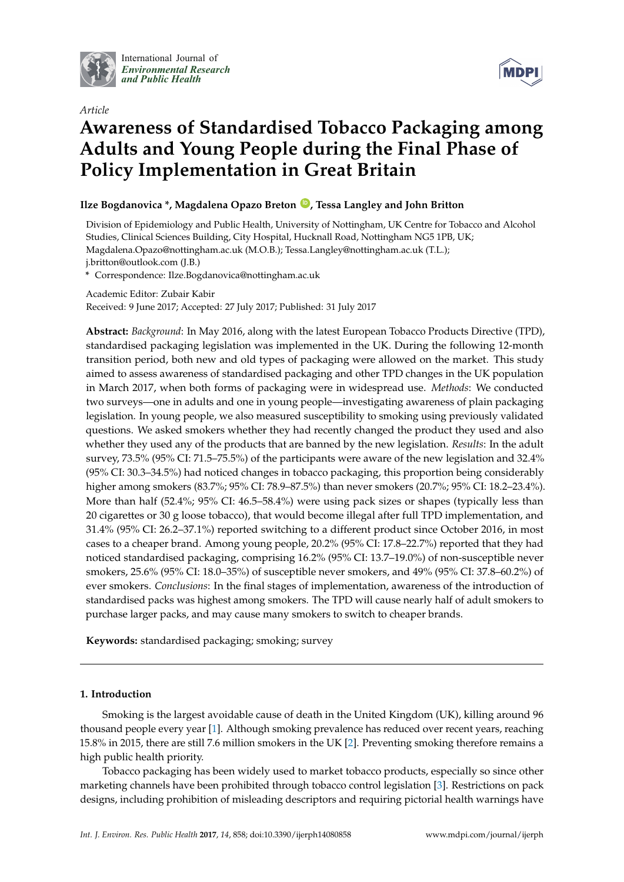

International Journal of *[Environmental Research](http://www.mdpi.com/journal/ijerph) and Public Health*





# **Awareness of Standardised Tobacco Packaging among Adults and Young People during the Final Phase of Policy Implementation in Great Britain**

# **Ilze Bogdanovica \*, Magdalena Opazo Breton [ID](https://orcid.org/0000-0002-1226-7541) , Tessa Langley and John Britton**

Division of Epidemiology and Public Health, University of Nottingham, UK Centre for Tobacco and Alcohol Studies, Clinical Sciences Building, City Hospital, Hucknall Road, Nottingham NG5 1PB, UK; Magdalena.Opazo@nottingham.ac.uk (M.O.B.); Tessa.Langley@nottingham.ac.uk (T.L.); j.britton@outlook.com (J.B.)

**\*** Correspondence: Ilze.Bogdanovica@nottingham.ac.uk

Academic Editor: Zubair Kabir

Received: 9 June 2017; Accepted: 27 July 2017; Published: 31 July 2017

**Abstract:** *Background*: In May 2016, along with the latest European Tobacco Products Directive (TPD), standardised packaging legislation was implemented in the UK. During the following 12-month transition period, both new and old types of packaging were allowed on the market. This study aimed to assess awareness of standardised packaging and other TPD changes in the UK population in March 2017, when both forms of packaging were in widespread use. *Methods*: We conducted two surveys—one in adults and one in young people—investigating awareness of plain packaging legislation. In young people, we also measured susceptibility to smoking using previously validated questions. We asked smokers whether they had recently changed the product they used and also whether they used any of the products that are banned by the new legislation. *Results*: In the adult survey, 73.5% (95% CI: 71.5–75.5%) of the participants were aware of the new legislation and 32.4% (95% CI: 30.3–34.5%) had noticed changes in tobacco packaging, this proportion being considerably higher among smokers (83.7%; 95% CI: 78.9–87.5%) than never smokers (20.7%; 95% CI: 18.2–23.4%). More than half (52.4%; 95% CI: 46.5–58.4%) were using pack sizes or shapes (typically less than 20 cigarettes or 30 g loose tobacco), that would become illegal after full TPD implementation, and 31.4% (95% CI: 26.2–37.1%) reported switching to a different product since October 2016, in most cases to a cheaper brand. Among young people, 20.2% (95% CI: 17.8–22.7%) reported that they had noticed standardised packaging, comprising 16.2% (95% CI: 13.7–19.0%) of non-susceptible never smokers, 25.6% (95% CI: 18.0–35%) of susceptible never smokers, and 49% (95% CI: 37.8–60.2%) of ever smokers. *Conclusions*: In the final stages of implementation, awareness of the introduction of standardised packs was highest among smokers. The TPD will cause nearly half of adult smokers to purchase larger packs, and may cause many smokers to switch to cheaper brands.

**Keywords:** standardised packaging; smoking; survey

## **1. Introduction**

Smoking is the largest avoidable cause of death in the United Kingdom (UK), killing around 96 thousand people every year [\[1\]](#page-6-0). Although smoking prevalence has reduced over recent years, reaching 15.8% in 2015, there are still 7.6 million smokers in the UK [\[2\]](#page-6-1). Preventing smoking therefore remains a high public health priority.

Tobacco packaging has been widely used to market tobacco products, especially so since other marketing channels have been prohibited through tobacco control legislation [\[3\]](#page-6-2). Restrictions on pack designs, including prohibition of misleading descriptors and requiring pictorial health warnings have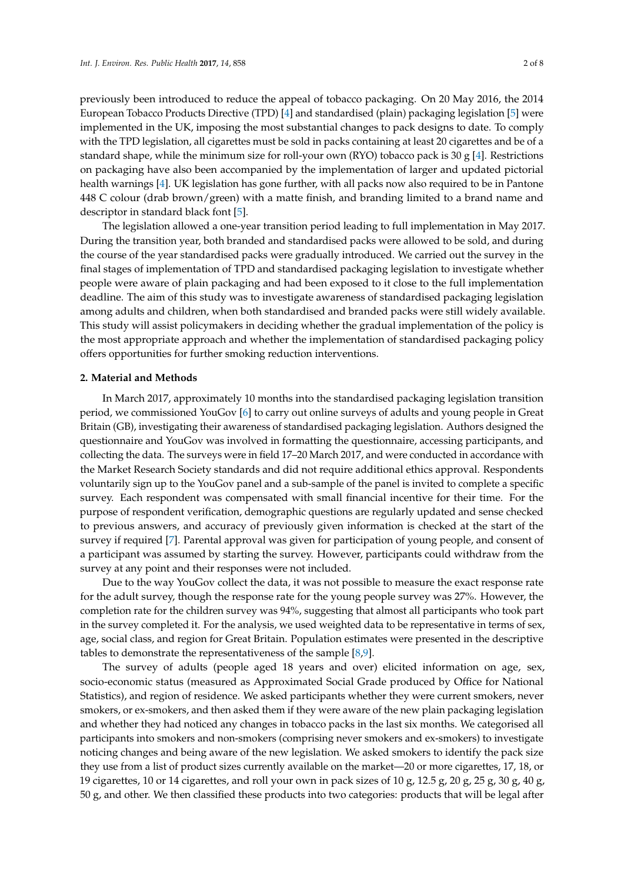previously been introduced to reduce the appeal of tobacco packaging. On 20 May 2016, the 2014 European Tobacco Products Directive (TPD) [\[4\]](#page-6-3) and standardised (plain) packaging legislation [\[5\]](#page-6-4) were implemented in the UK, imposing the most substantial changes to pack designs to date. To comply with the TPD legislation, all cigarettes must be sold in packs containing at least 20 cigarettes and be of a standard shape, while the minimum size for roll-your own (RYO) tobacco pack is 30 g [\[4\]](#page-6-3). Restrictions on packaging have also been accompanied by the implementation of larger and updated pictorial health warnings [\[4\]](#page-6-3). UK legislation has gone further, with all packs now also required to be in Pantone 448 C colour (drab brown/green) with a matte finish, and branding limited to a brand name and descriptor in standard black font [\[5\]](#page-6-4).

The legislation allowed a one-year transition period leading to full implementation in May 2017. During the transition year, both branded and standardised packs were allowed to be sold, and during the course of the year standardised packs were gradually introduced. We carried out the survey in the final stages of implementation of TPD and standardised packaging legislation to investigate whether people were aware of plain packaging and had been exposed to it close to the full implementation deadline. The aim of this study was to investigate awareness of standardised packaging legislation among adults and children, when both standardised and branded packs were still widely available. This study will assist policymakers in deciding whether the gradual implementation of the policy is the most appropriate approach and whether the implementation of standardised packaging policy offers opportunities for further smoking reduction interventions.

#### **2. Material and Methods**

In March 2017, approximately 10 months into the standardised packaging legislation transition period, we commissioned YouGov [\[6\]](#page-6-5) to carry out online surveys of adults and young people in Great Britain (GB), investigating their awareness of standardised packaging legislation. Authors designed the questionnaire and YouGov was involved in formatting the questionnaire, accessing participants, and collecting the data. The surveys were in field 17–20 March 2017, and were conducted in accordance with the Market Research Society standards and did not require additional ethics approval. Respondents voluntarily sign up to the YouGov panel and a sub-sample of the panel is invited to complete a specific survey. Each respondent was compensated with small financial incentive for their time. For the purpose of respondent verification, demographic questions are regularly updated and sense checked to previous answers, and accuracy of previously given information is checked at the start of the survey if required [\[7\]](#page-6-6). Parental approval was given for participation of young people, and consent of a participant was assumed by starting the survey. However, participants could withdraw from the survey at any point and their responses were not included.

Due to the way YouGov collect the data, it was not possible to measure the exact response rate for the adult survey, though the response rate for the young people survey was 27%. However, the completion rate for the children survey was 94%, suggesting that almost all participants who took part in the survey completed it. For the analysis, we used weighted data to be representative in terms of sex, age, social class, and region for Great Britain. Population estimates were presented in the descriptive tables to demonstrate the representativeness of the sample [\[8,](#page-7-0)[9\]](#page-7-1).

The survey of adults (people aged 18 years and over) elicited information on age, sex, socio-economic status (measured as Approximated Social Grade produced by Office for National Statistics), and region of residence. We asked participants whether they were current smokers, never smokers, or ex-smokers, and then asked them if they were aware of the new plain packaging legislation and whether they had noticed any changes in tobacco packs in the last six months. We categorised all participants into smokers and non-smokers (comprising never smokers and ex-smokers) to investigate noticing changes and being aware of the new legislation. We asked smokers to identify the pack size they use from a list of product sizes currently available on the market—20 or more cigarettes, 17, 18, or 19 cigarettes, 10 or 14 cigarettes, and roll your own in pack sizes of 10 g, 12.5 g, 20 g, 25 g, 30 g, 40 g, 50 g, and other. We then classified these products into two categories: products that will be legal after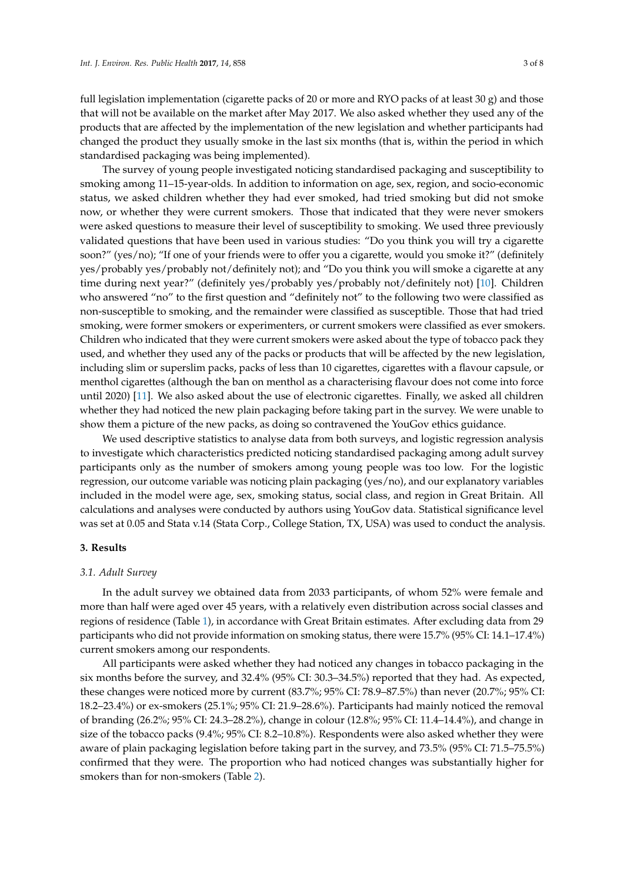full legislation implementation (cigarette packs of 20 or more and RYO packs of at least 30 g) and those that will not be available on the market after May 2017. We also asked whether they used any of the products that are affected by the implementation of the new legislation and whether participants had changed the product they usually smoke in the last six months (that is, within the period in which standardised packaging was being implemented).

The survey of young people investigated noticing standardised packaging and susceptibility to smoking among 11–15-year-olds. In addition to information on age, sex, region, and socio-economic status, we asked children whether they had ever smoked, had tried smoking but did not smoke now, or whether they were current smokers. Those that indicated that they were never smokers were asked questions to measure their level of susceptibility to smoking. We used three previously validated questions that have been used in various studies: "Do you think you will try a cigarette soon?" (yes/no); "If one of your friends were to offer you a cigarette, would you smoke it?" (definitely yes/probably yes/probably not/definitely not); and "Do you think you will smoke a cigarette at any time during next year?" (definitely yes/probably yes/probably not/definitely not) [\[10\]](#page-7-2). Children who answered "no" to the first question and "definitely not" to the following two were classified as non-susceptible to smoking, and the remainder were classified as susceptible. Those that had tried smoking, were former smokers or experimenters, or current smokers were classified as ever smokers. Children who indicated that they were current smokers were asked about the type of tobacco pack they used, and whether they used any of the packs or products that will be affected by the new legislation, including slim or superslim packs, packs of less than 10 cigarettes, cigarettes with a flavour capsule, or menthol cigarettes (although the ban on menthol as a characterising flavour does not come into force until 2020) [\[11\]](#page-7-3). We also asked about the use of electronic cigarettes. Finally, we asked all children whether they had noticed the new plain packaging before taking part in the survey. We were unable to show them a picture of the new packs, as doing so contravened the YouGov ethics guidance.

We used descriptive statistics to analyse data from both surveys, and logistic regression analysis to investigate which characteristics predicted noticing standardised packaging among adult survey participants only as the number of smokers among young people was too low. For the logistic regression, our outcome variable was noticing plain packaging (yes/no), and our explanatory variables included in the model were age, sex, smoking status, social class, and region in Great Britain. All calculations and analyses were conducted by authors using YouGov data. Statistical significance level was set at 0.05 and Stata v.14 (Stata Corp., College Station, TX, USA) was used to conduct the analysis.

#### **3. Results**

#### *3.1. Adult Survey*

In the adult survey we obtained data from 2033 participants, of whom 52% were female and more than half were aged over 45 years, with a relatively even distribution across social classes and regions of residence (Table [1\)](#page-3-0), in accordance with Great Britain estimates. After excluding data from 29 participants who did not provide information on smoking status, there were 15.7% (95% CI: 14.1–17.4%) current smokers among our respondents.

All participants were asked whether they had noticed any changes in tobacco packaging in the six months before the survey, and 32.4% (95% CI: 30.3–34.5%) reported that they had. As expected, these changes were noticed more by current (83.7%; 95% CI: 78.9–87.5%) than never (20.7%; 95% CI: 18.2–23.4%) or ex-smokers (25.1%; 95% CI: 21.9–28.6%). Participants had mainly noticed the removal of branding (26.2%; 95% CI: 24.3–28.2%), change in colour (12.8%; 95% CI: 11.4–14.4%), and change in size of the tobacco packs (9.4%; 95% CI: 8.2–10.8%). Respondents were also asked whether they were aware of plain packaging legislation before taking part in the survey, and 73.5% (95% CI: 71.5–75.5%) confirmed that they were. The proportion who had noticed changes was substantially higher for smokers than for non-smokers (Table [2\)](#page-3-1).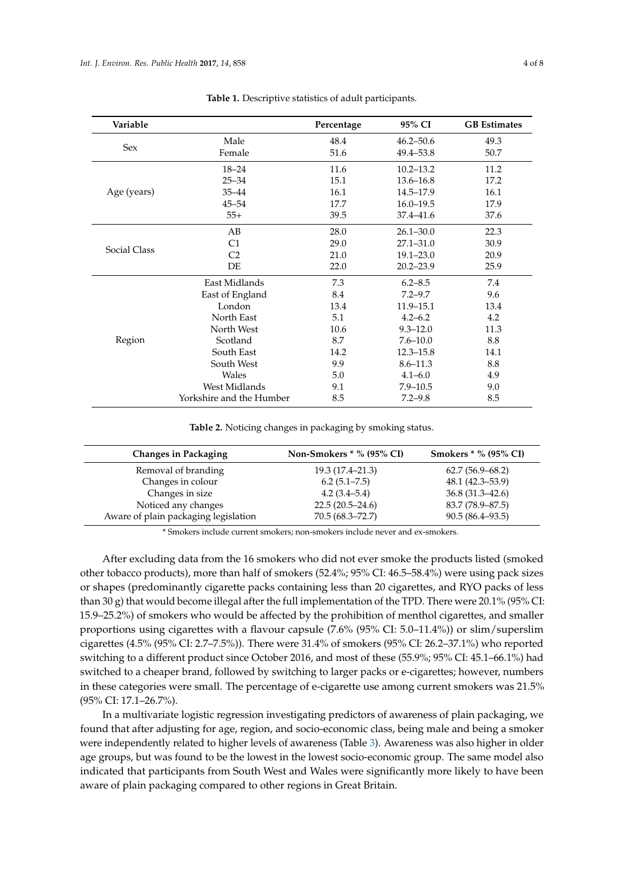<span id="page-3-0"></span>

| Variable     |                          | Percentage | 95% CI        | <b>GB</b> Estimates |
|--------------|--------------------------|------------|---------------|---------------------|
| <b>Sex</b>   | Male                     | 48.4       | $46.2 - 50.6$ | 49.3                |
|              | Female                   | 51.6       | 49.4-53.8     | 50.7                |
|              | $18 - 24$                | 11.6       | $10.2 - 13.2$ | 11.2                |
|              | $25 - 34$                | 15.1       | $13.6 - 16.8$ | 17.2                |
| Age (years)  | $35 - 44$                | 16.1       | 14.5-17.9     | 16.1                |
|              | $45 - 54$                | 17.7       | $16.0 - 19.5$ | 17.9                |
|              | $55+$                    | 39.5       | $37.4 - 41.6$ | 37.6                |
| Social Class | AB                       | 28.0       | $26.1 - 30.0$ | 22.3                |
|              | C1                       | 29.0       | $27.1 - 31.0$ | 30.9                |
|              | C <sub>2</sub>           | 21.0       | $19.1 - 23.0$ | 20.9                |
|              | DE                       | 22.0       | $20.2 - 23.9$ | 25.9                |
| Region       | East Midlands            | 7.3        | $6.2 - 8.5$   | 7.4                 |
|              | East of England          | 8.4        | $7.2 - 9.7$   | 9.6                 |
|              | London                   | 13.4       | $11.9 - 15.1$ | 13.4                |
|              | North East               | 5.1        | $4.2 - 6.2$   | 4.2                 |
|              | North West               | 10.6       | $9.3 - 12.0$  | 11.3                |
|              | Scotland                 | 8.7        | $7.6 - 10.0$  | 8.8                 |
|              | South East               | 14.2       | $12.3 - 15.8$ | 14.1                |
|              | South West               | 9.9        | $8.6 - 11.3$  | 8.8                 |
|              | Wales                    | 5.0        | $4.1 - 6.0$   | 4.9                 |
|              | West Midlands            | 9.1        | $7.9 - 10.5$  | 9.0                 |
|              | Yorkshire and the Humber | 8.5        | $7.2 - 9.8$   | 8.5                 |

**Table 1.** Descriptive statistics of adult participants.

**Table 2.** Noticing changes in packaging by smoking status.

<span id="page-3-1"></span>

| <b>Changes in Packaging</b>          | Non-Smokers $*$ % (95% CI) | <b>Smokers</b> * % (95% CI) |
|--------------------------------------|----------------------------|-----------------------------|
| Removal of branding                  | $19.3(17.4 - 21.3)$        | $62.7(56.9 - 68.2)$         |
| Changes in colour                    | 6.2(5.1–7.5)               | $48.1(42.3 - 53.9)$         |
| Changes in size                      | $4.2(3.4-5.4)$             | $36.8(31.3 - 42.6)$         |
| Noticed any changes                  | $22.5(20.5-24.6)$          | 83.7 (78.9–87.5)            |
| Aware of plain packaging legislation | $70.5(68.3 - 72.7)$        | $90.5(86.4 - 93.5)$         |

\* Smokers include current smokers; non-smokers include never and ex-smokers.

After excluding data from the 16 smokers who did not ever smoke the products listed (smoked other tobacco products), more than half of smokers (52.4%; 95% CI: 46.5–58.4%) were using pack sizes or shapes (predominantly cigarette packs containing less than 20 cigarettes, and RYO packs of less than 30 g) that would become illegal after the full implementation of the TPD. There were 20.1% (95% CI: 15.9–25.2%) of smokers who would be affected by the prohibition of menthol cigarettes, and smaller proportions using cigarettes with a flavour capsule (7.6% (95% CI: 5.0–11.4%)) or slim/superslim cigarettes (4.5% (95% CI: 2.7–7.5%)). There were 31.4% of smokers (95% CI: 26.2–37.1%) who reported switching to a different product since October 2016, and most of these (55.9%; 95% CI: 45.1–66.1%) had switched to a cheaper brand, followed by switching to larger packs or e-cigarettes; however, numbers in these categories were small. The percentage of e-cigarette use among current smokers was 21.5% (95% CI: 17.1–26.7%).

In a multivariate logistic regression investigating predictors of awareness of plain packaging, we found that after adjusting for age, region, and socio-economic class, being male and being a smoker were independently related to higher levels of awareness (Table [3\)](#page-4-0). Awareness was also higher in older age groups, but was found to be the lowest in the lowest socio-economic group. The same model also indicated that participants from South West and Wales were significantly more likely to have been aware of plain packaging compared to other regions in Great Britain.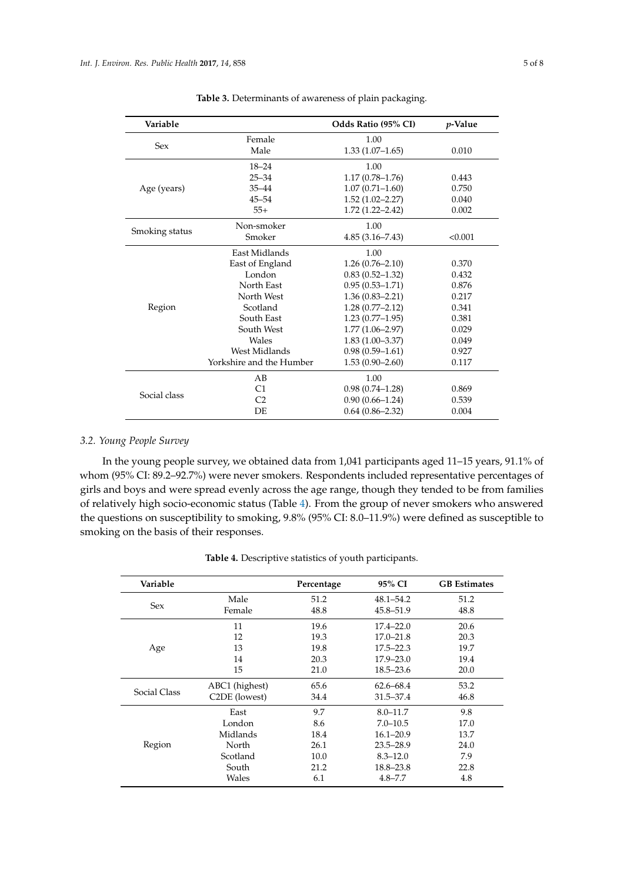<span id="page-4-0"></span>

| Variable       |                          | Odds Ratio (95% CI) | <i>p</i> -Value |
|----------------|--------------------------|---------------------|-----------------|
|                | Female                   | 1.00                |                 |
| Sex            | Male                     | $1.33(1.07-1.65)$   | 0.010           |
|                | $18 - 24$                | 1.00                |                 |
|                | $25 - 34$                | $1.17(0.78 - 1.76)$ | 0.443           |
| Age (years)    | $35 - 44$                | $1.07(0.71 - 1.60)$ | 0.750           |
|                | $45 - 54$                | $1.52(1.02 - 2.27)$ | 0.040           |
|                | $55+$                    | $1.72(1.22 - 2.42)$ | 0.002           |
| Smoking status | Non-smoker               | 1.00                |                 |
|                | Smoker                   | $4.85(3.16 - 7.43)$ | < 0.001         |
|                | East Midlands            | 1.00                |                 |
|                | East of England          | $1.26(0.76 - 2.10)$ | 0.370           |
|                | London                   | $0.83(0.52 - 1.32)$ | 0.432           |
|                | North East               | $0.95(0.53 - 1.71)$ | 0.876           |
|                | North West               | $1.36(0.83 - 2.21)$ | 0.217           |
| Region         | Scotland                 | $1.28(0.77 - 2.12)$ | 0.341           |
|                | South East               | $1.23(0.77-1.95)$   | 0.381           |
|                | South West               | $1.77(1.06 - 2.97)$ | 0.029           |
|                | Wales                    | $1.83(1.00 - 3.37)$ | 0.049           |
|                | West Midlands            | $0.98(0.59 - 1.61)$ | 0.927           |
|                | Yorkshire and the Humber | $1.53(0.90-2.60)$   | 0.117           |
| Social class   | AB                       | 1.00                |                 |
|                | C1                       | $0.98(0.74 - 1.28)$ | 0.869           |
|                | C <sub>2</sub>           | $0.90(0.66 - 1.24)$ | 0.539           |
|                | DE                       | $0.64(0.86 - 2.32)$ | 0.004           |

**Table 3.** Determinants of awareness of plain packaging.

# *3.2. Young People Survey*

In the young people survey, we obtained data from 1,041 participants aged 11–15 years, 91.1% of whom (95% CI: 89.2–92.7%) were never smokers. Respondents included representative percentages of girls and boys and were spread evenly across the age range, though they tended to be from families of relatively high socio-economic status (Table [4\)](#page-4-1). From the group of never smokers who answered the questions on susceptibility to smoking, 9.8% (95% CI: 8.0–11.9%) were defined as susceptible to smoking on the basis of their responses.

<span id="page-4-1"></span>

| Variable     |                            | Percentage | 95% CI        | <b>GB</b> Estimates |
|--------------|----------------------------|------------|---------------|---------------------|
| <b>Sex</b>   | Male                       | 51.2       | $48.1 - 54.2$ | 51.2                |
|              | Female                     | 48.8       | 45.8–51.9     | 48.8                |
|              | 11                         | 19.6       | $17.4 - 22.0$ | 20.6                |
|              | 12                         | 19.3       | $17.0 - 21.8$ | 20.3                |
| Age          | 13                         | 19.8       | $17.5 - 22.3$ | 19.7                |
|              | 14                         | 20.3       | $17.9 - 23.0$ | 19.4                |
|              | 15                         | 21.0       | $18.5 - 23.6$ | 20.0                |
| Social Class | ABC1 (highest)             | 65.6       | $62.6 - 68.4$ | 53.2                |
|              | C <sub>2</sub> DE (lowest) | 34.4       | 31.5-37.4     | 46.8                |
| Region       | East                       | 9.7        | $8.0 - 11.7$  | 9.8                 |
|              | London                     | 8.6        | $7.0 - 10.5$  | 17.0                |
|              | Midlands                   | 18.4       | $16.1 - 20.9$ | 13.7                |
|              | North                      | 26.1       | $23.5 - 28.9$ | 24.0                |
|              | Scotland                   | 10.0       | $8.3 - 12.0$  | 7.9                 |
|              | South                      | 21.2       | 18.8-23.8     | 22.8                |
|              | Wales                      | 6.1        | $4.8 - 7.7$   | 4.8                 |

**Table 4.** Descriptive statistics of youth participants.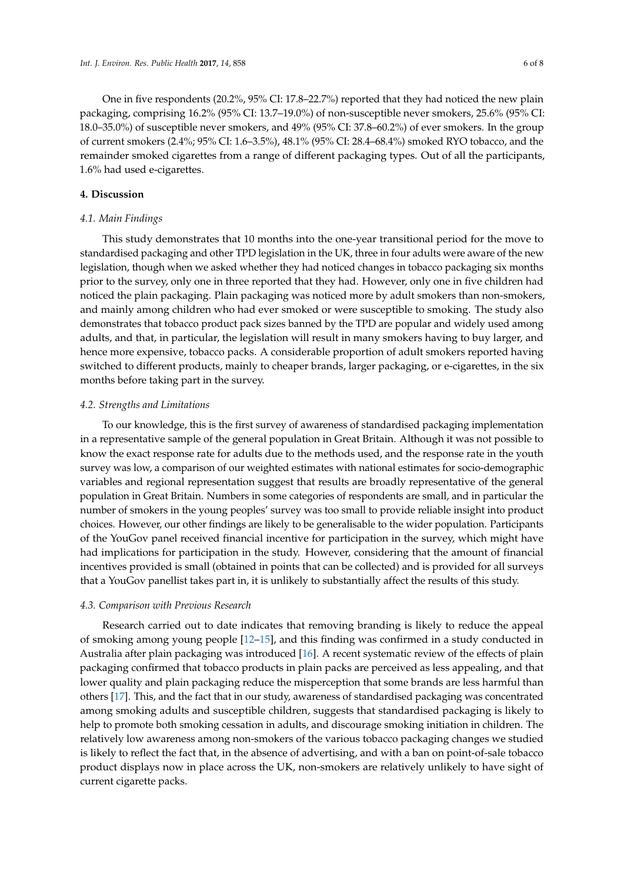One in five respondents (20.2%, 95% CI: 17.8–22.7%) reported that they had noticed the new plain packaging, comprising 16.2% (95% CI: 13.7–19.0%) of non-susceptible never smokers, 25.6% (95% CI: 18.0–35.0%) of susceptible never smokers, and 49% (95% CI: 37.8–60.2%) of ever smokers. In the group of current smokers (2.4%; 95% CI: 1.6–3.5%), 48.1% (95% CI: 28.4–68.4%) smoked RYO tobacco, and the remainder smoked cigarettes from a range of different packaging types. Out of all the participants, 1.6% had used e-cigarettes.

#### **4. Discussion**

#### *4.1. Main Findings*

This study demonstrates that 10 months into the one-year transitional period for the move to standardised packaging and other TPD legislation in the UK, three in four adults were aware of the new legislation, though when we asked whether they had noticed changes in tobacco packaging six months prior to the survey, only one in three reported that they had. However, only one in five children had noticed the plain packaging. Plain packaging was noticed more by adult smokers than non-smokers, and mainly among children who had ever smoked or were susceptible to smoking. The study also demonstrates that tobacco product pack sizes banned by the TPD are popular and widely used among adults, and that, in particular, the legislation will result in many smokers having to buy larger, and hence more expensive, tobacco packs. A considerable proportion of adult smokers reported having switched to different products, mainly to cheaper brands, larger packaging, or e-cigarettes, in the six months before taking part in the survey.

#### *4.2. Strengths and Limitations*

To our knowledge, this is the first survey of awareness of standardised packaging implementation in a representative sample of the general population in Great Britain. Although it was not possible to know the exact response rate for adults due to the methods used, and the response rate in the youth survey was low, a comparison of our weighted estimates with national estimates for socio-demographic variables and regional representation suggest that results are broadly representative of the general population in Great Britain. Numbers in some categories of respondents are small, and in particular the number of smokers in the young peoples' survey was too small to provide reliable insight into product choices. However, our other findings are likely to be generalisable to the wider population. Participants of the YouGov panel received financial incentive for participation in the survey, which might have had implications for participation in the study. However, considering that the amount of financial incentives provided is small (obtained in points that can be collected) and is provided for all surveys that a YouGov panellist takes part in, it is unlikely to substantially affect the results of this study.

#### *4.3. Comparison with Previous Research*

Research carried out to date indicates that removing branding is likely to reduce the appeal of smoking among young people [\[12–](#page-7-4)[15\]](#page-7-5), and this finding was confirmed in a study conducted in Australia after plain packaging was introduced [\[16\]](#page-7-6). A recent systematic review of the effects of plain packaging confirmed that tobacco products in plain packs are perceived as less appealing, and that lower quality and plain packaging reduce the misperception that some brands are less harmful than others [\[17\]](#page-7-7). This, and the fact that in our study, awareness of standardised packaging was concentrated among smoking adults and susceptible children, suggests that standardised packaging is likely to help to promote both smoking cessation in adults, and discourage smoking initiation in children. The relatively low awareness among non-smokers of the various tobacco packaging changes we studied is likely to reflect the fact that, in the absence of advertising, and with a ban on point-of-sale tobacco product displays now in place across the UK, non-smokers are relatively unlikely to have sight of current cigarette packs.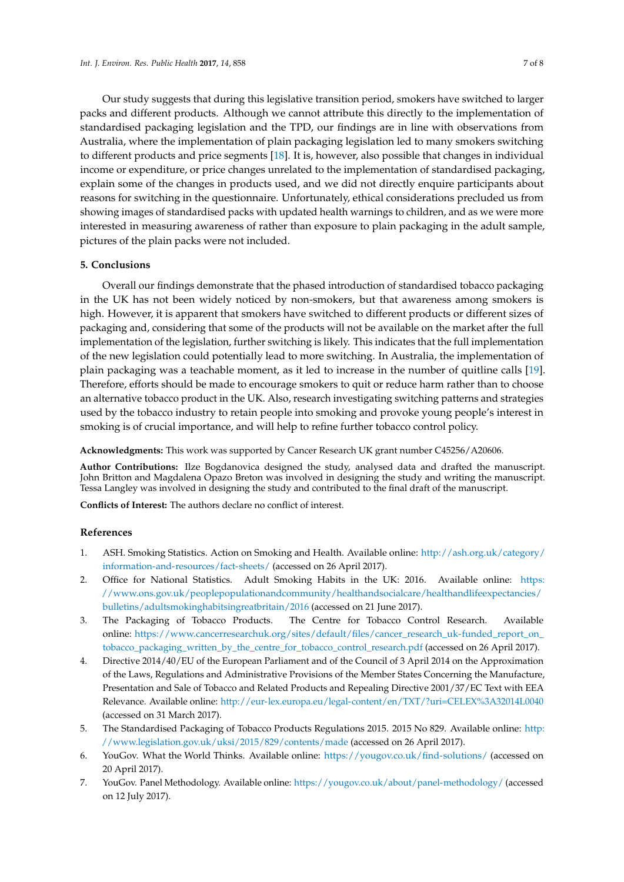Our study suggests that during this legislative transition period, smokers have switched to larger packs and different products. Although we cannot attribute this directly to the implementation of standardised packaging legislation and the TPD, our findings are in line with observations from Australia, where the implementation of plain packaging legislation led to many smokers switching to different products and price segments [\[18\]](#page-7-8). It is, however, also possible that changes in individual income or expenditure, or price changes unrelated to the implementation of standardised packaging, explain some of the changes in products used, and we did not directly enquire participants about reasons for switching in the questionnaire. Unfortunately, ethical considerations precluded us from showing images of standardised packs with updated health warnings to children, and as we were more interested in measuring awareness of rather than exposure to plain packaging in the adult sample, pictures of the plain packs were not included.

#### **5. Conclusions**

Overall our findings demonstrate that the phased introduction of standardised tobacco packaging in the UK has not been widely noticed by non-smokers, but that awareness among smokers is high. However, it is apparent that smokers have switched to different products or different sizes of packaging and, considering that some of the products will not be available on the market after the full implementation of the legislation, further switching is likely. This indicates that the full implementation of the new legislation could potentially lead to more switching. In Australia, the implementation of plain packaging was a teachable moment, as it led to increase in the number of quitline calls [\[19\]](#page-7-9). Therefore, efforts should be made to encourage smokers to quit or reduce harm rather than to choose an alternative tobacco product in the UK. Also, research investigating switching patterns and strategies used by the tobacco industry to retain people into smoking and provoke young people's interest in smoking is of crucial importance, and will help to refine further tobacco control policy.

**Acknowledgments:** This work was supported by Cancer Research UK grant number C45256/A20606.

**Author Contributions:** Ilze Bogdanovica designed the study, analysed data and drafted the manuscript. John Britton and Magdalena Opazo Breton was involved in designing the study and writing the manuscript. Tessa Langley was involved in designing the study and contributed to the final draft of the manuscript.

**Conflicts of Interest:** The authors declare no conflict of interest.

### **References**

- <span id="page-6-0"></span>1. ASH. Smoking Statistics. Action on Smoking and Health. Available online: [http://ash.org.uk/category/](http://ash.org.uk/category/information-and-resources/fact-sheets/) [information-and-resources/fact-sheets/](http://ash.org.uk/category/information-and-resources/fact-sheets/) (accessed on 26 April 2017).
- <span id="page-6-1"></span>2. Office for National Statistics. Adult Smoking Habits in the UK: 2016. Available online: [https:](https://www.ons.gov.uk/peoplepopulationandcommunity/healthandsocialcare/healthandlifeexpectancies/bulletins/adultsmokinghabitsingreatbritain/2016) [//www.ons.gov.uk/peoplepopulationandcommunity/healthandsocialcare/healthandlifeexpectancies/](https://www.ons.gov.uk/peoplepopulationandcommunity/healthandsocialcare/healthandlifeexpectancies/bulletins/adultsmokinghabitsingreatbritain/2016) [bulletins/adultsmokinghabitsingreatbritain/2016](https://www.ons.gov.uk/peoplepopulationandcommunity/healthandsocialcare/healthandlifeexpectancies/bulletins/adultsmokinghabitsingreatbritain/2016) (accessed on 21 June 2017).
- <span id="page-6-2"></span>3. The Packaging of Tobacco Products. The Centre for Tobacco Control Research. Available online: [https://www.cancerresearchuk.org/sites/default/files/cancer\\_research\\_uk-funded\\_report\\_on\\_](https://www.cancerresearchuk.org/sites/default/files/cancer_research_uk-funded_report_on_tobacco_packaging_written_by_the_centre_for_tobacco_control_research.pdf) [tobacco\\_packaging\\_written\\_by\\_the\\_centre\\_for\\_tobacco\\_control\\_research.pdf](https://www.cancerresearchuk.org/sites/default/files/cancer_research_uk-funded_report_on_tobacco_packaging_written_by_the_centre_for_tobacco_control_research.pdf) (accessed on 26 April 2017).
- <span id="page-6-3"></span>4. Directive 2014/40/EU of the European Parliament and of the Council of 3 April 2014 on the Approximation of the Laws, Regulations and Administrative Provisions of the Member States Concerning the Manufacture, Presentation and Sale of Tobacco and Related Products and Repealing Directive 2001/37/EC Text with EEA Relevance. Available online: <http://eur-lex.europa.eu/legal-content/en/TXT/?uri=CELEX%3A32014L0040> (accessed on 31 March 2017).
- <span id="page-6-4"></span>5. The Standardised Packaging of Tobacco Products Regulations 2015. 2015 No 829. Available online: [http:](http://www.legislation.gov.uk/uksi/2015/829/contents/made) [//www.legislation.gov.uk/uksi/2015/829/contents/made](http://www.legislation.gov.uk/uksi/2015/829/contents/made) (accessed on 26 April 2017).
- <span id="page-6-5"></span>6. YouGov. What the World Thinks. Available online: <https://yougov.co.uk/find-solutions/> (accessed on 20 April 2017).
- <span id="page-6-6"></span>7. YouGov. Panel Methodology. Available online: <https://yougov.co.uk/about/panel-methodology/> (accessed on 12 July 2017).